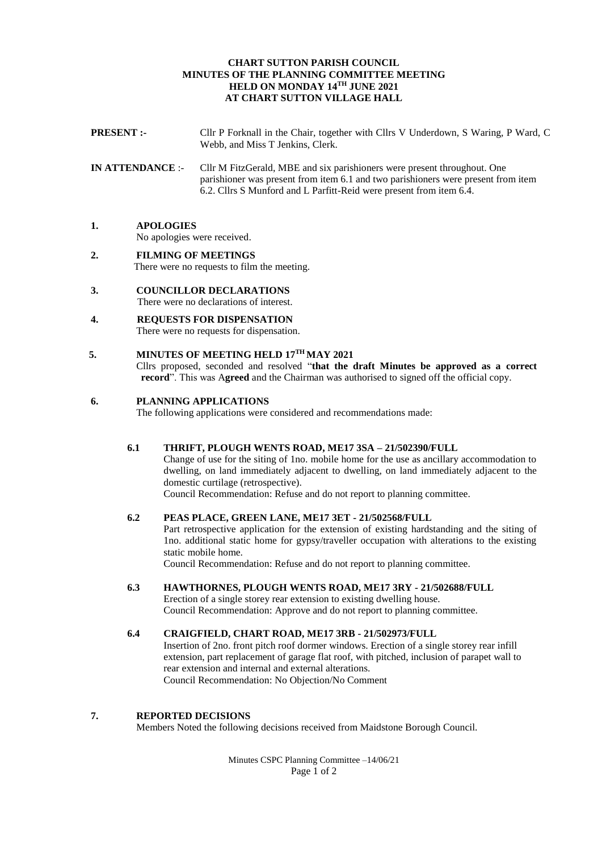### **CHART SUTTON PARISH COUNCIL MINUTES OF THE PLANNING COMMITTEE MEETING HELD ON MONDAY 14 TH JUNE 2021 AT CHART SUTTON VILLAGE HALL**

- **PRESENT :-** Cllr P Forknall in the Chair, together with Cllrs V Underdown, S Waring, P Ward, C Webb, and Miss T Jenkins, Clerk.
- **IN ATTENDANCE** :- Cllr M FitzGerald, MBE and six parishioners were present throughout. One parishioner was present from item 6.1 and two parishioners were present from item 6.2. Cllrs S Munford and L Parfitt-Reid were present from item 6.4.

## **1. APOLOGIES**

No apologies were received.

- **2. FILMING OF MEETINGS** There were no requests to film the meeting.
- **3. COUNCILLOR DECLARATIONS** There were no declarations of interest.
- **4. REQUESTS FOR DISPENSATION**  There were no requests for dispensation.

# **5. MINUTES OF MEETING HELD 17TH MAY 2021**

Cllrs proposed, seconded and resolved "**that the draft Minutes be approved as a correct record**". This was A**greed** and the Chairman was authorised to signed off the official copy.

### **6. PLANNING APPLICATIONS**

The following applications were considered and recommendations made:

### **6.1 THRIFT, PLOUGH WENTS ROAD, ME17 3SA – 21/502390/FULL**

Change of use for the siting of 1no. mobile home for the use as ancillary accommodation to dwelling, on land immediately adjacent to dwelling, on land immediately adjacent to the domestic curtilage (retrospective).

Council Recommendation: Refuse and do not report to planning committee.

## **6.2 PEAS PLACE, GREEN LANE, ME17 3ET - 21/502568/FULL**

Part retrospective application for the extension of existing hardstanding and the siting of 1no. additional static home for gypsy/traveller occupation with alterations to the existing static mobile home.

Council Recommendation: Refuse and do not report to planning committee.

- **6.3 HAWTHORNES, PLOUGH WENTS ROAD, ME17 3RY - 21/502688/FULL** Erection of a single storey rear extension to existing dwelling house. Council Recommendation: Approve and do not report to planning committee.
- **6.4 CRAIGFIELD, CHART ROAD, ME17 3RB - 21/502973/FULL** Insertion of 2no. front pitch roof dormer windows. Erection of a single storey rear infill extension, part replacement of garage flat roof, with pitched, inclusion of parapet wall to rear extension and internal and external alterations. Council Recommendation: No Objection/No Comment

### **7. REPORTED DECISIONS**

Members Noted the following decisions received from Maidstone Borough Council.

Minutes CSPC Planning Committee –14/06/21 Page 1 of 2